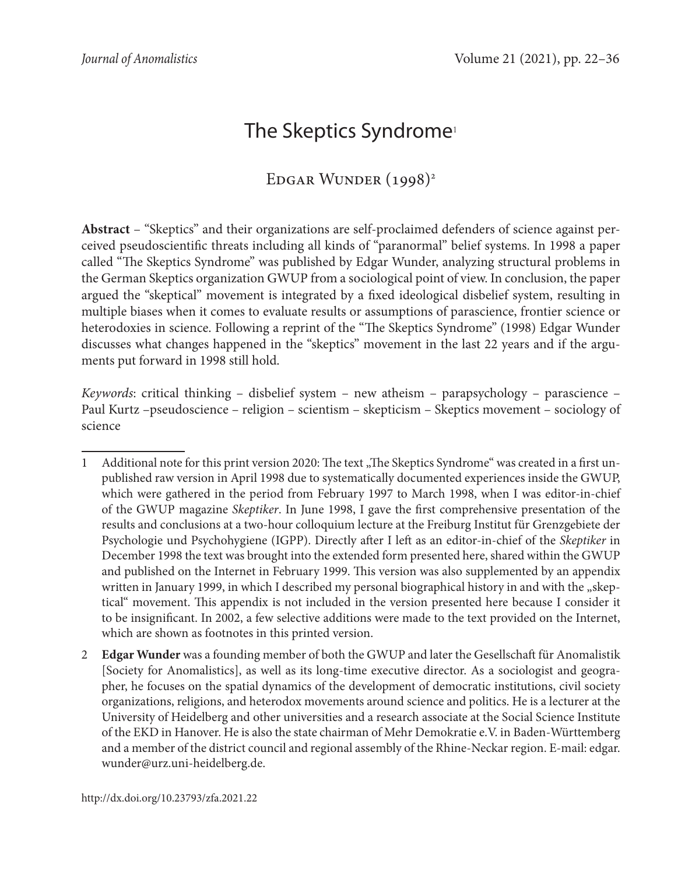# The Skeptics Syndrome<sup>1</sup>

## EDGAR WUNDER (1998)<sup>2</sup>

**Abstract** – "Skeptics" and their organizations are self-proclaimed defenders of science against perceived pseudoscientific threats including all kinds of "paranormal" belief systems. In 1998 a paper called "The Skeptics Syndrome" was published by Edgar Wunder, analyzing structural problems in the German Skeptics organization GWUP from a sociological point of view. In conclusion, the paper argued the "skeptical" movement is integrated by a fixed ideological disbelief system, resulting in multiple biases when it comes to evaluate results or assumptions of parascience, frontier science or heterodoxies in science. Following a reprint of the "The Skeptics Syndrome" (1998) Edgar Wunder discusses what changes happened in the "skeptics" movement in the last 22 years and if the arguments put forward in 1998 still hold.

*Keywords*: critical thinking – disbelief system – new atheism – parapsychology – parascience – Paul Kurtz –pseudoscience – religion – scientism – skepticism – Skeptics movement – sociology of science

<sup>1</sup> Additional note for this print version 2020: The text "The Skeptics Syndrome" was created in a first unpublished raw version in April 1998 due to systematically documented experiences inside the GWUP, which were gathered in the period from February 1997 to March 1998, when I was editor-in-chief of the GWUP magazine *Skeptiker*. In June 1998, I gave the first comprehensive presentation of the results and conclusions at a two-hour colloquium lecture at the Freiburg Institut für Grenzgebiete der Psychologie und Psychohygiene (IGPP). Directly after I left as an editor-in-chief of the *Skeptiker* in December 1998 the text was brought into the extended form presented here, shared within the GWUP and published on the Internet in February 1999. This version was also supplemented by an appendix written in January 1999, in which I described my personal biographical history in and with the "skeptical" movement. This appendix is not included in the version presented here because I consider it to be insignificant. In 2002, a few selective additions were made to the text provided on the Internet, which are shown as footnotes in this printed version.

<sup>2</sup> **Edgar Wunder** was a founding member of both the GWUP and later the Gesellschaft für Anomalistik [Society for Anomalistics], as well as its long-time executive director. As a sociologist and geographer, he focuses on the spatial dynamics of the development of democratic institutions, civil society organizations, religions, and heterodox movements around science and politics. He is a lecturer at the University of Heidelberg and other universities and a research associate at the Social Science Institute of the EKD in Hanover. He is also the state chairman of Mehr Demokratie e.V. in Baden-Württemberg and a member of the district council and regional assembly of the Rhine-Neckar region. E-mail: edgar. wunder@urz.uni-heidelberg.de.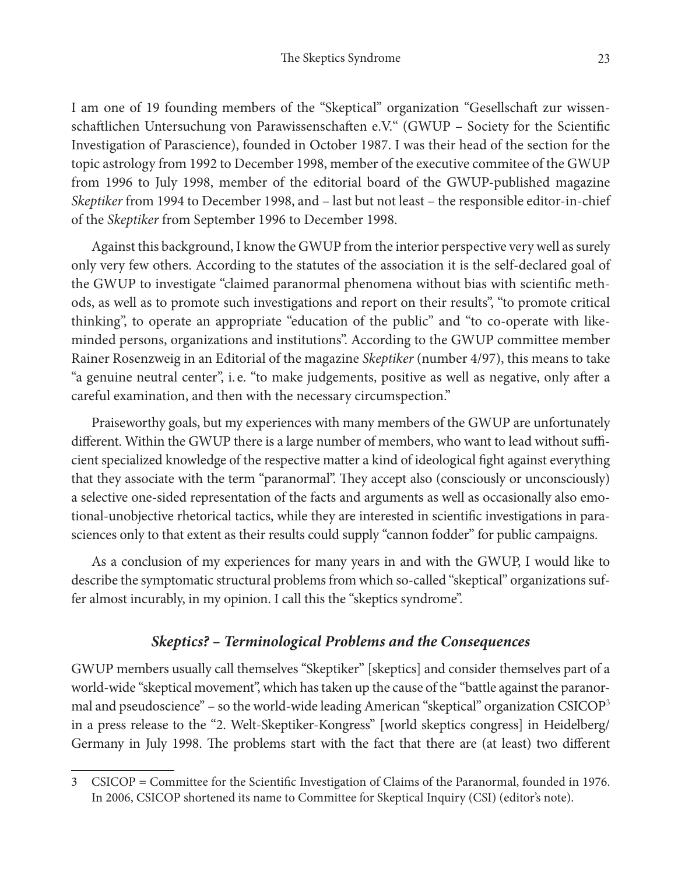I am one of 19 founding members of the "Skeptical" organization "Gesellschaft zur wissenschaftlichen Untersuchung von Parawissenschaften e.V." (GWUP – Society for the Scientific Investigation of Parascience), founded in October 1987. I was their head of the section for the topic astrology from 1992 to December 1998, member of the executive commitee of the GWUP from 1996 to July 1998, member of the editorial board of the GWUP-published magazine *Skeptiker* from 1994 to December 1998, and – last but not least – the responsible editor-in-chief of the *Skeptiker* from September 1996 to December 1998.

Against this background, I know the GWUP from the interior perspective very well as surely only very few others. According to the statutes of the association it is the self-declared goal of the GWUP to investigate "claimed paranormal phenomena without bias with scientific methods, as well as to promote such investigations and report on their results", "to promote critical thinking", to operate an appropriate "education of the public" and "to co-operate with likeminded persons, organizations and institutions". According to the GWUP committee member Rainer Rosenzweig in an Editorial of the magazine *Skeptiker* (number 4/97), this means to take "a genuine neutral center", i. e. "to make judgements, positive as well as negative, only after a careful examination, and then with the necessary circumspection."

Praiseworthy goals, but my experiences with many members of the GWUP are unfortunately different. Within the GWUP there is a large number of members, who want to lead without sufficient specialized knowledge of the respective matter a kind of ideological fight against everything that they associate with the term "paranormal". They accept also (consciously or unconsciously) a selective one-sided representation of the facts and arguments as well as occasionally also emotional-unobjective rhetorical tactics, while they are interested in scientific investigations in parasciences only to that extent as their results could supply "cannon fodder" for public campaigns.

As a conclusion of my experiences for many years in and with the GWUP, I would like to describe the symptomatic structural problems from which so-called "skeptical" organizations suffer almost incurably, in my opinion. I call this the "skeptics syndrome".

## *Skeptics? – Terminological Problems and the Consequences*

GWUP members usually call themselves "Skeptiker" [skeptics] and consider themselves part of a world-wide "skeptical movement", which has taken up the cause of the "battle against the paranormal and pseudoscience" – so the world-wide leading American "skeptical" organization CSICOP<sup>3</sup> in a press release to the "2. Welt-Skeptiker-Kongress" [world skeptics congress] in Heidelberg/ Germany in July 1998. The problems start with the fact that there are (at least) two different

<sup>3</sup> CSICOP = Committee for the Scientific Investigation of Claims of the Paranormal, founded in 1976. In 2006, CSICOP shortened its name to Committee for Skeptical Inquiry (CSI) (editor's note).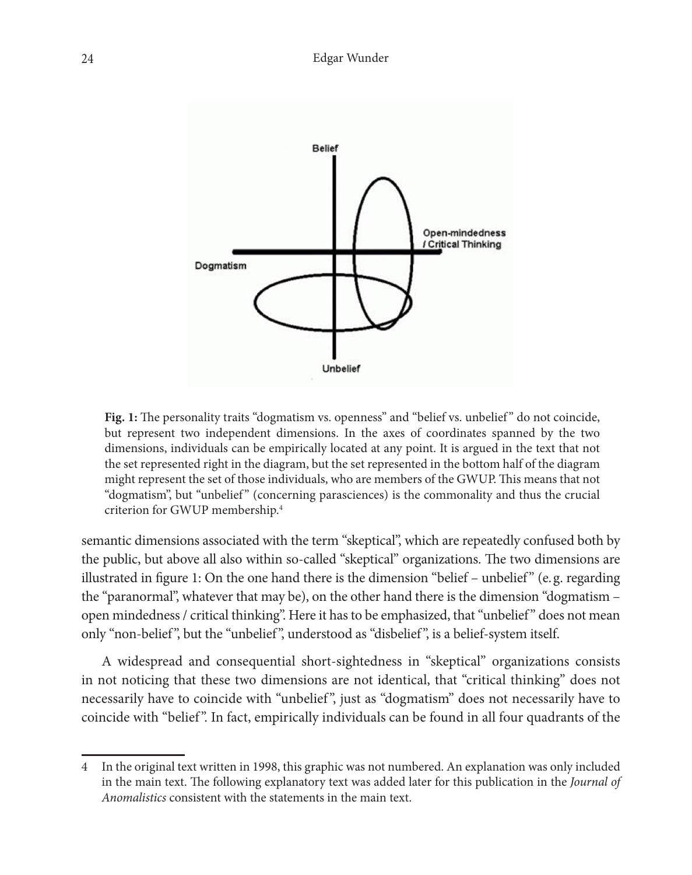

Fig. 1: The personality traits "dogmatism vs. openness" and "belief vs. unbelief" do not coincide, but represent two independent dimensions. In the axes of coordinates spanned by the two dimensions, individuals can be empirically located at any point. It is argued in the text that not the set represented right in the diagram, but the set represented in the bottom half of the diagram might represent the set of those individuals, who are members of the GWUP. This means that not "dogmatism", but "unbelief " (concerning parasciences) is the commonality and thus the crucial criterion for GWUP membership.4

semantic dimensions associated with the term "skeptical", which are repeatedly confused both by the public, but above all also within so-called "skeptical" organizations. The two dimensions are illustrated in figure 1: On the one hand there is the dimension "belief – unbelief" (e.g. regarding the "paranormal", whatever that may be), on the other hand there is the dimension "dogmatism – open mindedness / critical thinking". Here it has to be emphasized, that "unbelief" does not mean only "non-belief", but the "unbelief", understood as "disbelief", is a belief-system itself.<sup>4</sup>

A widespread and consequential short-sightedness in "skeptical" organizations consists in not noticing that these two dimensions are not identical, that "critical thinking" does not necessarily have to coincide with "unbelief ", just as "dogmatism" does not necessarily have to coincide with "belief ". In fact, empirically individuals can be found in all four quadrants of the

In the original text written in 1998, this graphic was not numbered. An explanation was only included in the main text. The following explanatory text was added later for this publication in the *Journal of Anomalistics* consistent with the statements in the main text.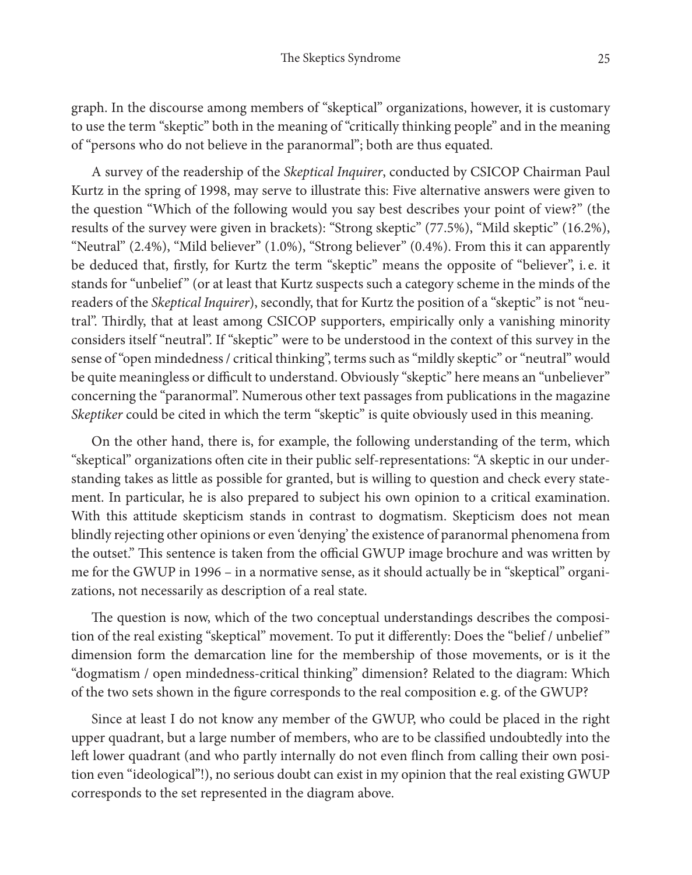graph. In the discourse among members of "skeptical" organizations, however, it is customary to use the term "skeptic" both in the meaning of "critically thinking people" and in the meaning of "persons who do not believe in the paranormal"; both are thus equated.

A survey of the readership of the *Skeptical Inquirer*, conducted by CSICOP Chairman Paul Kurtz in the spring of 1998, may serve to illustrate this: Five alternative answers were given to the question "Which of the following would you say best describes your point of view?" (the results of the survey were given in brackets): "Strong skeptic" (77.5%), "Mild skeptic" (16.2%), "Neutral" (2.4%), "Mild believer" (1.0%), "Strong believer" (0.4%). From this it can apparently be deduced that, firstly, for Kurtz the term "skeptic" means the opposite of "believer", i. e. it stands for "unbelief" (or at least that Kurtz suspects such a category scheme in the minds of the readers of the *Skeptical Inquirer*), secondly, that for Kurtz the position of a "skeptic" is not "neutral". Thirdly, that at least among CSICOP supporters, empirically only a vanishing minority considers itself "neutral". If "skeptic" were to be understood in the context of this survey in the sense of "open mindedness / critical thinking", terms such as "mildly skeptic" or "neutral" would be quite meaningless or difficult to understand. Obviously "skeptic" here means an "unbeliever" concerning the "paranormal". Numerous other text passages from publications in the magazine *Skeptiker* could be cited in which the term "skeptic" is quite obviously used in this meaning.

On the other hand, there is, for example, the following understanding of the term, which "skeptical" organizations often cite in their public self-representations: "A skeptic in our understanding takes as little as possible for granted, but is willing to question and check every statement. In particular, he is also prepared to subject his own opinion to a critical examination. With this attitude skepticism stands in contrast to dogmatism. Skepticism does not mean blindly rejecting other opinions or even 'denying' the existence of paranormal phenomena from the outset." This sentence is taken from the official GWUP image brochure and was written by me for the GWUP in 1996 – in a normative sense, as it should actually be in "skeptical" organizations, not necessarily as description of a real state.

The question is now, which of the two conceptual understandings describes the composition of the real existing "skeptical" movement. To put it differently: Does the "belief / unbelief " dimension form the demarcation line for the membership of those movements, or is it the "dogmatism / open mindedness-critical thinking" dimension? Related to the diagram: Which of the two sets shown in the figure corresponds to the real composition e. g. of the GWUP?

Since at least I do not know any member of the GWUP, who could be placed in the right upper quadrant, but a large number of members, who are to be classified undoubtedly into the left lower quadrant (and who partly internally do not even flinch from calling their own position even "ideological"!), no serious doubt can exist in my opinion that the real existing GWUP corresponds to the set represented in the diagram above.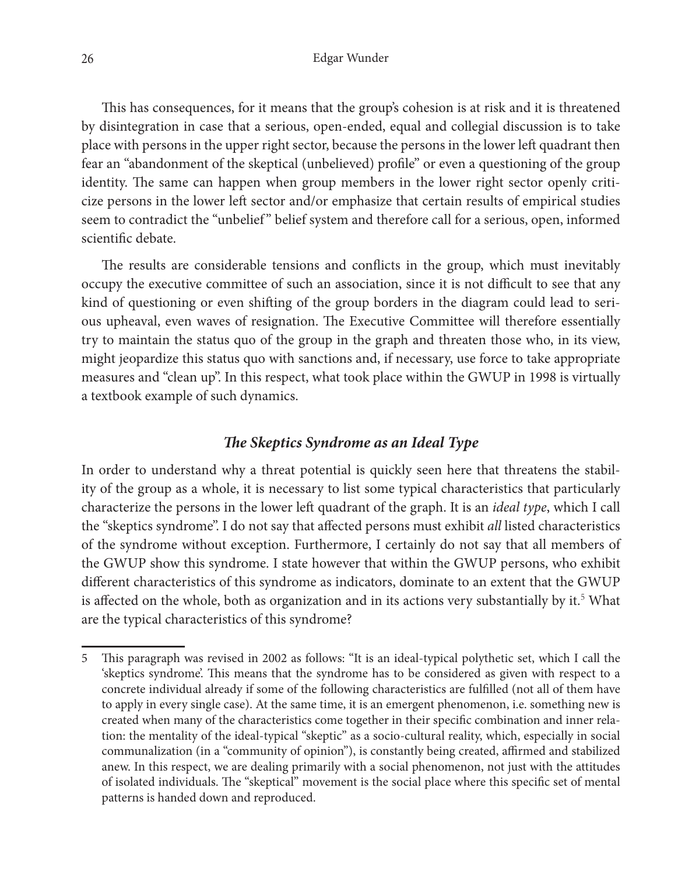This has consequences, for it means that the group's cohesion is at risk and it is threatened by disintegration in case that a serious, open-ended, equal and collegial discussion is to take place with persons in the upper right sector, because the persons in the lower left quadrant then fear an "abandonment of the skeptical (unbelieved) profile" or even a questioning of the group identity. The same can happen when group members in the lower right sector openly criticize persons in the lower left sector and/or emphasize that certain results of empirical studies seem to contradict the "unbelief" belief system and therefore call for a serious, open, informed scientific debate.

The results are considerable tensions and conflicts in the group, which must inevitably occupy the executive committee of such an association, since it is not difficult to see that any kind of questioning or even shifting of the group borders in the diagram could lead to serious upheaval, even waves of resignation. The Executive Committee will therefore essentially try to maintain the status quo of the group in the graph and threaten those who, in its view, might jeopardize this status quo with sanctions and, if necessary, use force to take appropriate measures and "clean up". In this respect, what took place within the GWUP in 1998 is virtually a textbook example of such dynamics.

## *The Skeptics Syndrome as an Ideal Type*

In order to understand why a threat potential is quickly seen here that threatens the stability of the group as a whole, it is necessary to list some typical characteristics that particularly characterize the persons in the lower left quadrant of the graph. It is an *ideal type*, which I call the "skeptics syndrome". I do not say that affected persons must exhibit *all* listed characteristics of the syndrome without exception. Furthermore, I certainly do not say that all members of the GWUP show this syndrome. I state however that within the GWUP persons, who exhibit different characteristics of this syndrome as indicators, dominate to an extent that the GWUP is affected on the whole, both as organization and in its actions very substantially by it.<sup>5</sup> What are the typical characteristics of this syndrome?

<sup>5</sup> This paragraph was revised in 2002 as follows: "It is an ideal-typical polythetic set, which I call the 'skeptics syndrome'. This means that the syndrome has to be considered as given with respect to a concrete individual already if some of the following characteristics are fulfilled (not all of them have to apply in every single case). At the same time, it is an emergent phenomenon, i.e. something new is created when many of the characteristics come together in their specific combination and inner relation: the mentality of the ideal-typical "skeptic" as a socio-cultural reality, which, especially in social communalization (in a "community of opinion"), is constantly being created, affirmed and stabilized anew. In this respect, we are dealing primarily with a social phenomenon, not just with the attitudes of isolated individuals. The "skeptical" movement is the social place where this specific set of mental patterns is handed down and reproduced.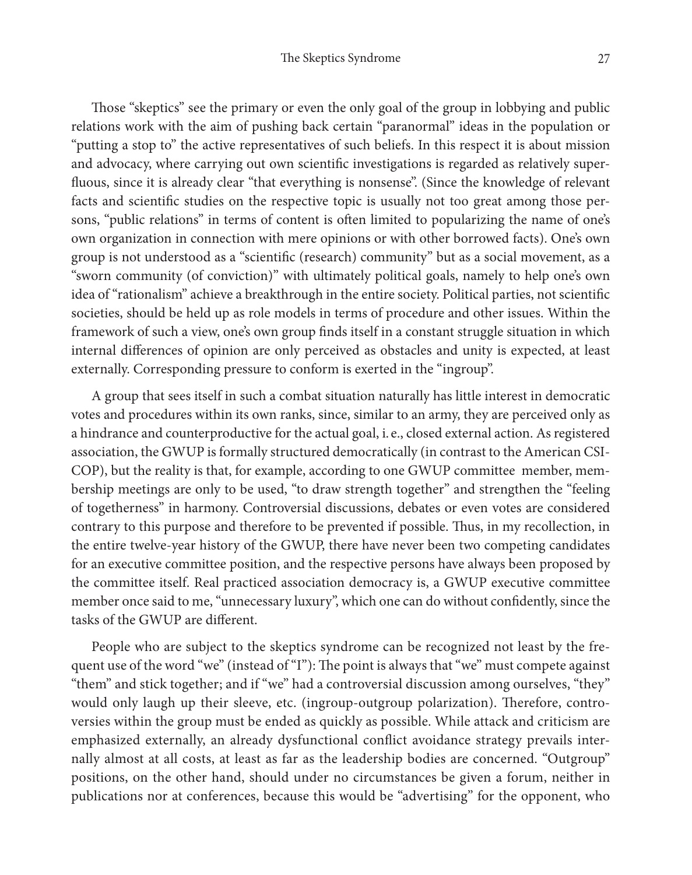Those "skeptics" see the primary or even the only goal of the group in lobbying and public relations work with the aim of pushing back certain "paranormal" ideas in the population or "putting a stop to" the active representatives of such beliefs. In this respect it is about mission and advocacy, where carrying out own scientific investigations is regarded as relatively superfluous, since it is already clear "that everything is nonsense". (Since the knowledge of relevant facts and scientific studies on the respective topic is usually not too great among those persons, "public relations" in terms of content is often limited to popularizing the name of one's own organization in connection with mere opinions or with other borrowed facts). One's own group is not understood as a "scientific (research) community" but as a social movement, as a "sworn community (of conviction)" with ultimately political goals, namely to help one's own idea of "rationalism" achieve a breakthrough in the entire society. Political parties, not scientific societies, should be held up as role models in terms of procedure and other issues. Within the framework of such a view, one's own group finds itself in a constant struggle situation in which internal differences of opinion are only perceived as obstacles and unity is expected, at least externally. Corresponding pressure to conform is exerted in the "ingroup".

A group that sees itself in such a combat situation naturally has little interest in democratic votes and procedures within its own ranks, since, similar to an army, they are perceived only as a hindrance and counterproductive for the actual goal, i. e., closed external action. As registered association, the GWUP is formally structured democratically (in contrast to the American CSI-COP), but the reality is that, for example, according to one GWUP committee member, membership meetings are only to be used, "to draw strength together" and strengthen the "feeling of togetherness" in harmony. Controversial discussions, debates or even votes are considered contrary to this purpose and therefore to be prevented if possible. Thus, in my recollection, in the entire twelve-year history of the GWUP, there have never been two competing candidates for an executive committee position, and the respective persons have always been proposed by the committee itself. Real practiced association democracy is, a GWUP executive committee member once said to me, "unnecessary luxury", which one can do without confidently, since the tasks of the GWUP are different.

People who are subject to the skeptics syndrome can be recognized not least by the frequent use of the word "we" (instead of "I"): The point is always that "we" must compete against "them" and stick together; and if "we" had a controversial discussion among ourselves, "they" would only laugh up their sleeve, etc. (ingroup-outgroup polarization). Therefore, controversies within the group must be ended as quickly as possible. While attack and criticism are emphasized externally, an already dysfunctional conflict avoidance strategy prevails internally almost at all costs, at least as far as the leadership bodies are concerned. "Outgroup" positions, on the other hand, should under no circumstances be given a forum, neither in publications nor at conferences, because this would be "advertising" for the opponent, who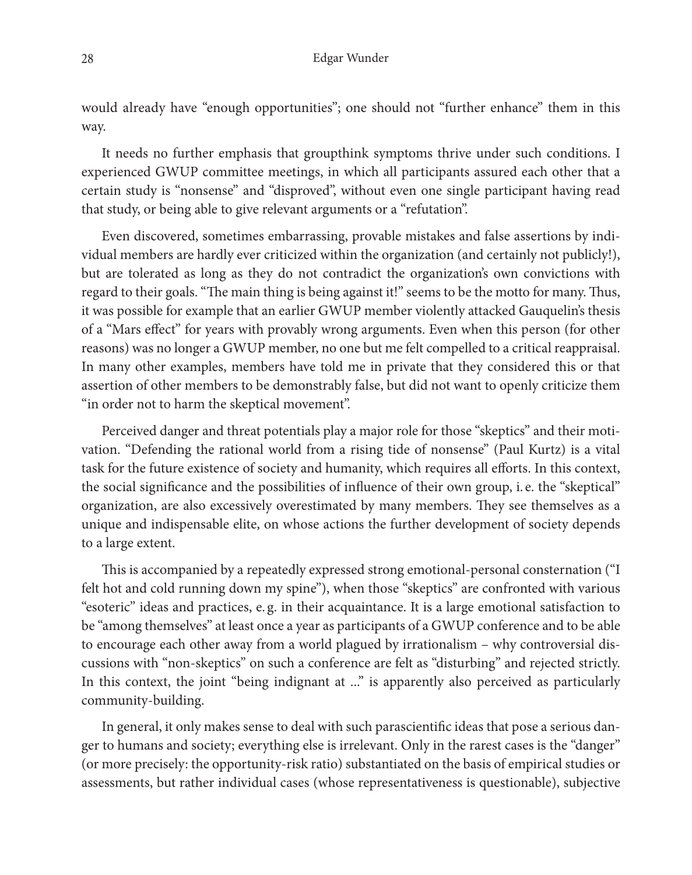would already have "enough opportunities"; one should not "further enhance" them in this way.

It needs no further emphasis that groupthink symptoms thrive under such conditions. I experienced GWUP committee meetings, in which all participants assured each other that a certain study is "nonsense" and "disproved", without even one single participant having read that study, or being able to give relevant arguments or a "refutation".

Even discovered, sometimes embarrassing, provable mistakes and false assertions by individual members are hardly ever criticized within the organization (and certainly not publicly!), but are tolerated as long as they do not contradict the organization's own convictions with regard to their goals. "The main thing is being against it!" seems to be the motto for many. Thus, it was possible for example that an earlier GWUP member violently attacked Gauquelin's thesis of a "Mars effect" for years with provably wrong arguments. Even when this person (for other reasons) was no longer a GWUP member, no one but me felt compelled to a critical reappraisal. In many other examples, members have told me in private that they considered this or that assertion of other members to be demonstrably false, but did not want to openly criticize them "in order not to harm the skeptical movement".

Perceived danger and threat potentials play a major role for those "skeptics" and their motivation. "Defending the rational world from a rising tide of nonsense" (Paul Kurtz) is a vital task for the future existence of society and humanity, which requires all efforts. In this context, the social significance and the possibilities of influence of their own group, i. e. the "skeptical" organization, are also excessively overestimated by many members. They see themselves as a unique and indispensable elite, on whose actions the further development of society depends to a large extent.

This is accompanied by a repeatedly expressed strong emotional-personal consternation ("I felt hot and cold running down my spine"), when those "skeptics" are confronted with various "esoteric" ideas and practices, e. g. in their acquaintance. It is a large emotional satisfaction to be "among themselves" at least once a year as participants of a GWUP conference and to be able to encourage each other away from a world plagued by irrationalism – why controversial discussions with "non-skeptics" on such a conference are felt as "disturbing" and rejected strictly. In this context, the joint "being indignant at ..." is apparently also perceived as particularly community-building.

In general, it only makes sense to deal with such parascientific ideas that pose a serious danger to humans and society; everything else is irrelevant. Only in the rarest cases is the "danger" (or more precisely: the opportunity-risk ratio) substantiated on the basis of empirical studies or assessments, but rather individual cases (whose representativeness is questionable), subjective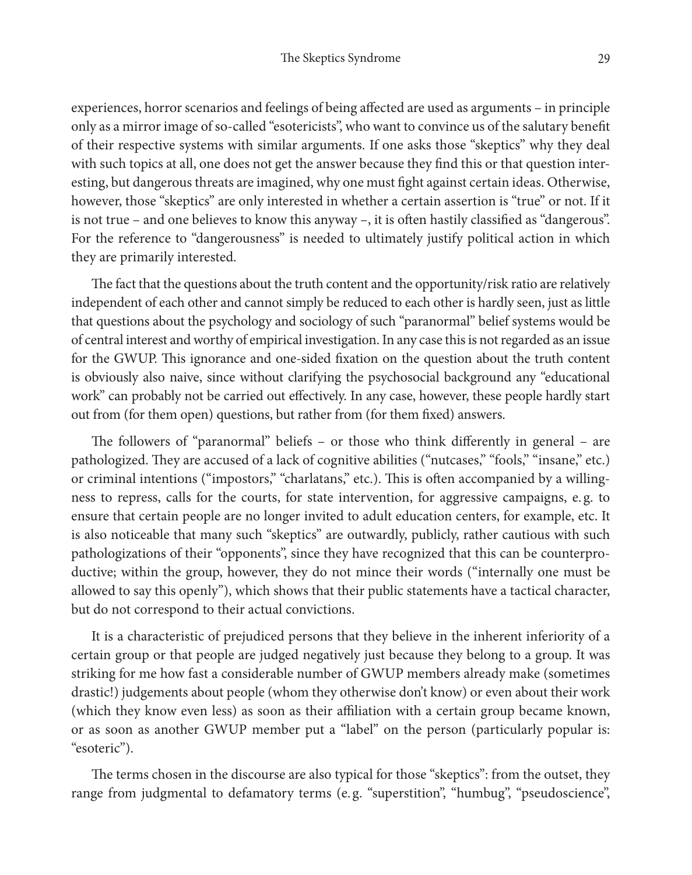experiences, horror scenarios and feelings of being affected are used as arguments – in principle only as a mirror image of so-called "esotericists", who want to convince us of the salutary benefit of their respective systems with similar arguments. If one asks those "skeptics" why they deal with such topics at all, one does not get the answer because they find this or that question interesting, but dangerous threats are imagined, why one must fight against certain ideas. Otherwise, however, those "skeptics" are only interested in whether a certain assertion is "true" or not. If it is not true – and one believes to know this anyway –, it is often hastily classified as "dangerous". For the reference to "dangerousness" is needed to ultimately justify political action in which they are primarily interested.

The fact that the questions about the truth content and the opportunity/risk ratio are relatively independent of each other and cannot simply be reduced to each other is hardly seen, just as little that questions about the psychology and sociology of such "paranormal" belief systems would be of central interest and worthy of empirical investigation. In any case this is not regarded as an issue for the GWUP. This ignorance and one-sided fixation on the question about the truth content is obviously also naive, since without clarifying the psychosocial background any "educational work" can probably not be carried out effectively. In any case, however, these people hardly start out from (for them open) questions, but rather from (for them fixed) answers.

The followers of "paranormal" beliefs – or those who think differently in general – are pathologized. They are accused of a lack of cognitive abilities ("nutcases," "fools," "insane," etc.) or criminal intentions ("impostors," "charlatans," etc.). This is often accompanied by a willingness to repress, calls for the courts, for state intervention, for aggressive campaigns, e. g. to ensure that certain people are no longer invited to adult education centers, for example, etc. It is also noticeable that many such "skeptics" are outwardly, publicly, rather cautious with such pathologizations of their "opponents", since they have recognized that this can be counterproductive; within the group, however, they do not mince their words ("internally one must be allowed to say this openly"), which shows that their public statements have a tactical character, but do not correspond to their actual convictions.

It is a characteristic of prejudiced persons that they believe in the inherent inferiority of a certain group or that people are judged negatively just because they belong to a group. It was striking for me how fast a considerable number of GWUP members already make (sometimes drastic!) judgements about people (whom they otherwise don't know) or even about their work (which they know even less) as soon as their affiliation with a certain group became known, or as soon as another GWUP member put a "label" on the person (particularly popular is: "esoteric").

The terms chosen in the discourse are also typical for those "skeptics": from the outset, they range from judgmental to defamatory terms (e. g. "superstition", "humbug", "pseudoscience",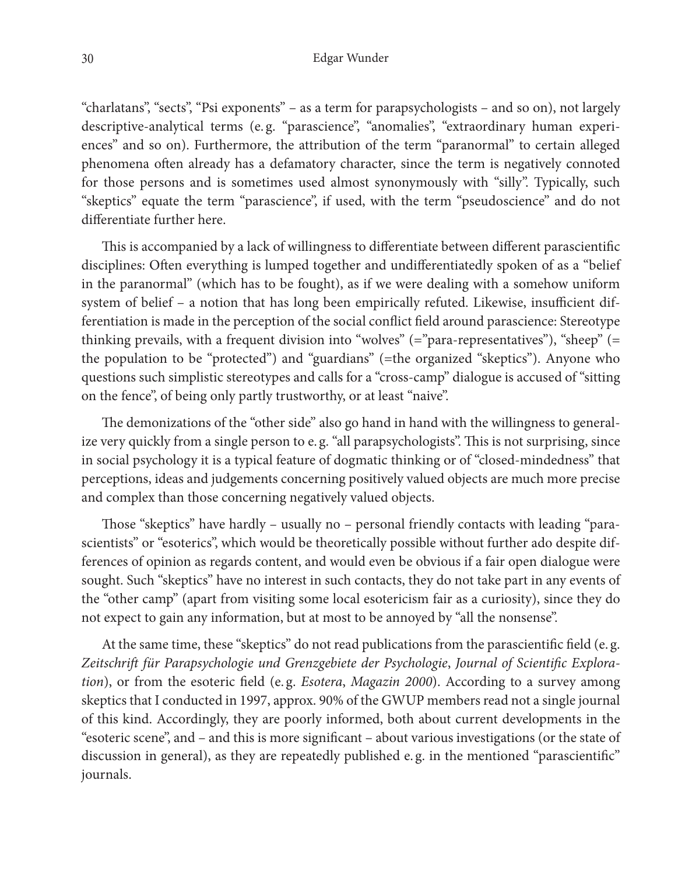"charlatans", "sects", "Psi exponents" – as a term for parapsychologists – and so on), not largely descriptive-analytical terms (e.g. "parascience", "anomalies", "extraordinary human experiences" and so on). Furthermore, the attribution of the term "paranormal" to certain alleged phenomena often already has a defamatory character, since the term is negatively connoted for those persons and is sometimes used almost synonymously with "silly". Typically, such "skeptics" equate the term "parascience", if used, with the term "pseudoscience" and do not differentiate further here.

This is accompanied by a lack of willingness to differentiate between different parascientific disciplines: Often everything is lumped together and undifferentiatedly spoken of as a "belief in the paranormal" (which has to be fought), as if we were dealing with a somehow uniform system of belief – a notion that has long been empirically refuted. Likewise, insufficient differentiation is made in the perception of the social conflict field around parascience: Stereotype thinking prevails, with a frequent division into "wolves" (="para-representatives"), "sheep" (= the population to be "protected") and "guardians" (=the organized "skeptics"). Anyone who questions such simplistic stereotypes and calls for a "cross-camp" dialogue is accused of "sitting on the fence", of being only partly trustworthy, or at least "naive".

The demonizations of the "other side" also go hand in hand with the willingness to generalize very quickly from a single person to e. g. "all parapsychologists". This is not surprising, since in social psychology it is a typical feature of dogmatic thinking or of "closed-mindedness" that perceptions, ideas and judgements concerning positively valued objects are much more precise and complex than those concerning negatively valued objects.

Those "skeptics" have hardly – usually no – personal friendly contacts with leading "parascientists" or "esoterics", which would be theoretically possible without further ado despite differences of opinion as regards content, and would even be obvious if a fair open dialogue were sought. Such "skeptics" have no interest in such contacts, they do not take part in any events of the "other camp" (apart from visiting some local esotericism fair as a curiosity), since they do not expect to gain any information, but at most to be annoyed by "all the nonsense".

At the same time, these "skeptics" do not read publications from the parascientific field (e. g. *Zeitschrift für Parapsychologie und Grenzgebiete der Psychologie*, *Journal of Scientific Exploration*), or from the esoteric field (e.g. *Esotera*, *Magazin 2000*). According to a survey among skeptics that I conducted in 1997, approx. 90% of the GWUP members read not a single journal of this kind. Accordingly, they are poorly informed, both about current developments in the "esoteric scene", and – and this is more significant – about various investigations (or the state of discussion in general), as they are repeatedly published e. g. in the mentioned "parascientific" journals.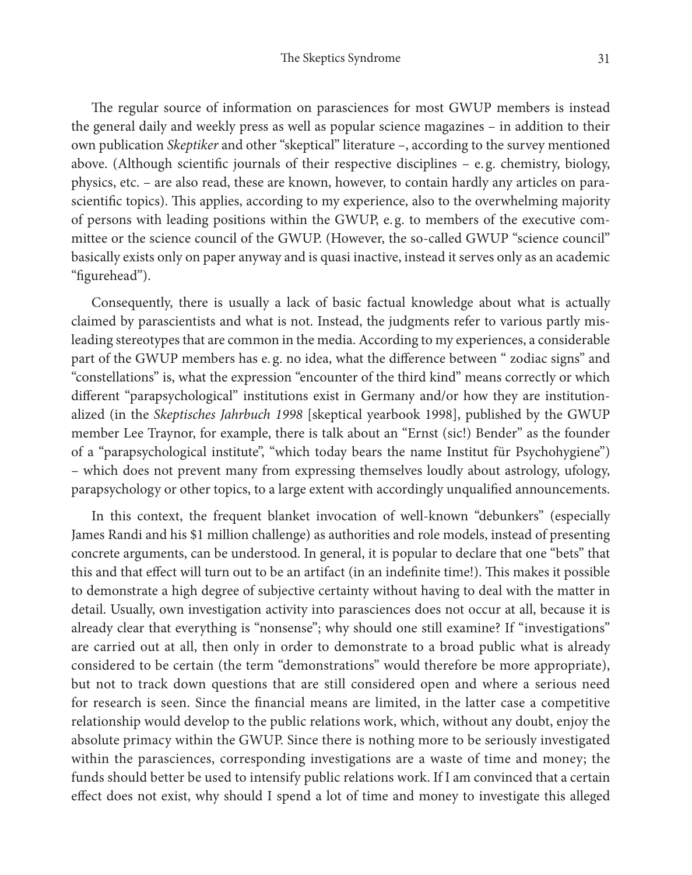The regular source of information on parasciences for most GWUP members is instead the general daily and weekly press as well as popular science magazines – in addition to their own publication *Skeptiker* and other "skeptical" literature –, according to the survey mentioned above. (Although scientific journals of their respective disciplines  $-$  e.g. chemistry, biology, physics, etc. – are also read, these are known, however, to contain hardly any articles on parascientific topics). This applies, according to my experience, also to the overwhelming majority of persons with leading positions within the GWUP, e. g. to members of the executive committee or the science council of the GWUP. (However, the so-called GWUP "science council" basically exists only on paper anyway and is quasi inactive, instead it serves only as an academic "figurehead").

Consequently, there is usually a lack of basic factual knowledge about what is actually claimed by parascientists and what is not. Instead, the judgments refer to various partly misleading stereotypes that are common in the media. According to my experiences, a considerable part of the GWUP members has e. g. no idea, what the difference between " zodiac signs" and "constellations" is, what the expression "encounter of the third kind" means correctly or which different "parapsychological" institutions exist in Germany and/or how they are institutionalized (in the *Skeptisches Jahrbuch 1998* [skeptical yearbook 1998], published by the GWUP member Lee Traynor, for example, there is talk about an "Ernst (sic!) Bender" as the founder of a "parapsychological institute", "which today bears the name Institut für Psychohygiene") – which does not prevent many from expressing themselves loudly about astrology, ufology, parapsychology or other topics, to a large extent with accordingly unqualified announcements.

In this context, the frequent blanket invocation of well-known "debunkers" (especially James Randi and his \$1 million challenge) as authorities and role models, instead of presenting concrete arguments, can be understood. In general, it is popular to declare that one "bets" that this and that effect will turn out to be an artifact (in an indefinite time!). This makes it possible to demonstrate a high degree of subjective certainty without having to deal with the matter in detail. Usually, own investigation activity into parasciences does not occur at all, because it is already clear that everything is "nonsense"; why should one still examine? If "investigations" are carried out at all, then only in order to demonstrate to a broad public what is already considered to be certain (the term "demonstrations" would therefore be more appropriate), but not to track down questions that are still considered open and where a serious need for research is seen. Since the financial means are limited, in the latter case a competitive relationship would develop to the public relations work, which, without any doubt, enjoy the absolute primacy within the GWUP. Since there is nothing more to be seriously investigated within the parasciences, corresponding investigations are a waste of time and money; the funds should better be used to intensify public relations work. If I am convinced that a certain effect does not exist, why should I spend a lot of time and money to investigate this alleged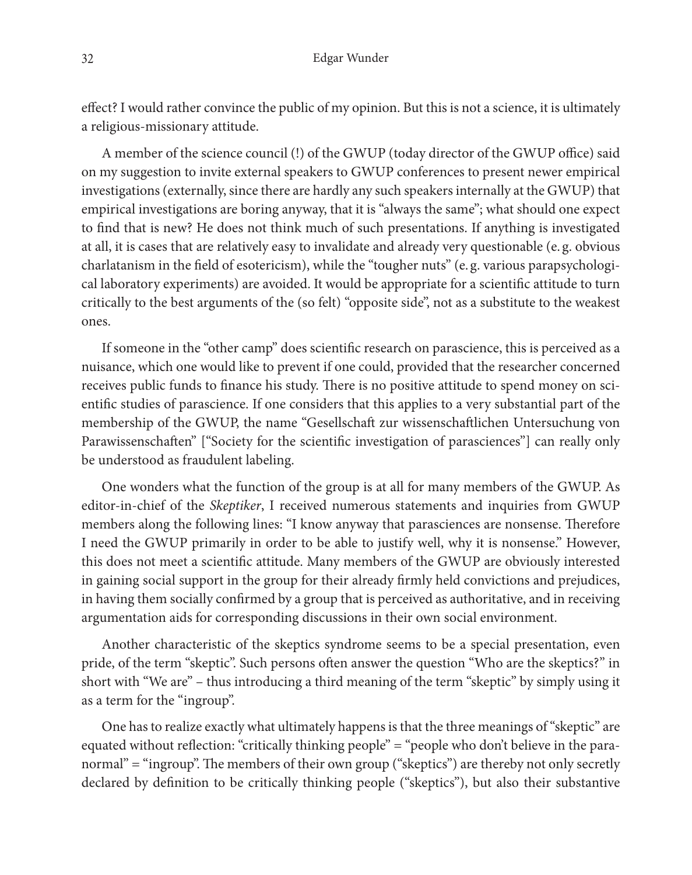effect? I would rather convince the public of my opinion. But this is not a science, it is ultimately a religious-missionary attitude.

A member of the science council (!) of the GWUP (today director of the GWUP office) said on my suggestion to invite external speakers to GWUP conferences to present newer empirical investigations (externally, since there are hardly any such speakers internally at the GWUP) that empirical investigations are boring anyway, that it is "always the same"; what should one expect to find that is new? He does not think much of such presentations. If anything is investigated at all, it is cases that are relatively easy to invalidate and already very questionable (e. g. obvious charlatanism in the field of esotericism), while the "tougher nuts" (e. g. various parapsychological laboratory experiments) are avoided. It would be appropriate for a scientific attitude to turn critically to the best arguments of the (so felt) "opposite side", not as a substitute to the weakest ones.

If someone in the "other camp" does scientific research on parascience, this is perceived as a nuisance, which one would like to prevent if one could, provided that the researcher concerned receives public funds to finance his study. There is no positive attitude to spend money on scientific studies of parascience. If one considers that this applies to a very substantial part of the membership of the GWUP, the name "Gesellschaft zur wissenschaftlichen Untersuchung von Parawissenschaften" ["Society for the scientific investigation of parasciences"] can really only be understood as fraudulent labeling.

One wonders what the function of the group is at all for many members of the GWUP. As editor-in-chief of the *Skeptiker*, I received numerous statements and inquiries from GWUP members along the following lines: "I know anyway that parasciences are nonsense. Therefore I need the GWUP primarily in order to be able to justify well, why it is nonsense." However, this does not meet a scientific attitude. Many members of the GWUP are obviously interested in gaining social support in the group for their already firmly held convictions and prejudices, in having them socially confirmed by a group that is perceived as authoritative, and in receiving argumentation aids for corresponding discussions in their own social environment.

Another characteristic of the skeptics syndrome seems to be a special presentation, even pride, of the term "skeptic". Such persons often answer the question "Who are the skeptics?" in short with "We are" – thus introducing a third meaning of the term "skeptic" by simply using it as a term for the "ingroup".

One has to realize exactly what ultimately happens is that the three meanings of "skeptic" are equated without reflection: "critically thinking people" = "people who don't believe in the paranormal" = "ingroup". The members of their own group ("skeptics") are thereby not only secretly declared by definition to be critically thinking people ("skeptics"), but also their substantive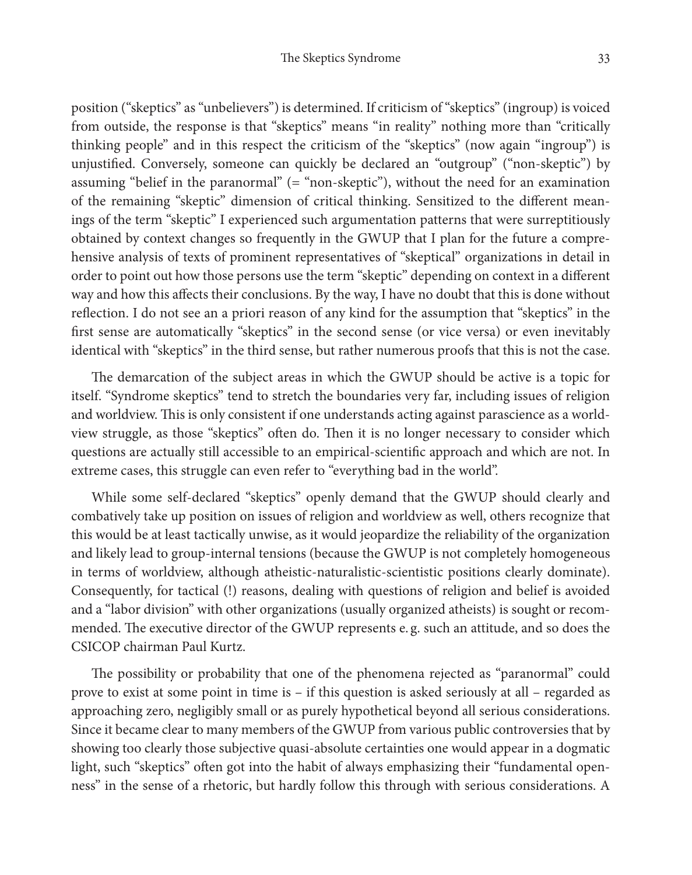position ("skeptics" as "unbelievers") is determined. If criticism of "skeptics" (ingroup) is voiced from outside, the response is that "skeptics" means "in reality" nothing more than "critically thinking people" and in this respect the criticism of the "skeptics" (now again "ingroup") is unjustified. Conversely, someone can quickly be declared an "outgroup" ("non-skeptic") by assuming "belief in the paranormal" (= "non-skeptic"), without the need for an examination of the remaining "skeptic" dimension of critical thinking. Sensitized to the different meanings of the term "skeptic" I experienced such argumentation patterns that were surreptitiously obtained by context changes so frequently in the GWUP that I plan for the future a comprehensive analysis of texts of prominent representatives of "skeptical" organizations in detail in order to point out how those persons use the term "skeptic" depending on context in a different way and how this affects their conclusions. By the way, I have no doubt that this is done without reflection. I do not see an a priori reason of any kind for the assumption that "skeptics" in the first sense are automatically "skeptics" in the second sense (or vice versa) or even inevitably identical with "skeptics" in the third sense, but rather numerous proofs that this is not the case.

The demarcation of the subject areas in which the GWUP should be active is a topic for itself. "Syndrome skeptics" tend to stretch the boundaries very far, including issues of religion and worldview. This is only consistent if one understands acting against parascience as a worldview struggle, as those "skeptics" often do. Then it is no longer necessary to consider which questions are actually still accessible to an empirical-scientific approach and which are not. In extreme cases, this struggle can even refer to "everything bad in the world".

While some self-declared "skeptics" openly demand that the GWUP should clearly and combatively take up position on issues of religion and worldview as well, others recognize that this would be at least tactically unwise, as it would jeopardize the reliability of the organization and likely lead to group-internal tensions (because the GWUP is not completely homogeneous in terms of worldview, although atheistic-naturalistic-scientistic positions clearly dominate). Consequently, for tactical (!) reasons, dealing with questions of religion and belief is avoided and a "labor division" with other organizations (usually organized atheists) is sought or recommended. The executive director of the GWUP represents e. g. such an attitude, and so does the CSICOP chairman Paul Kurtz.

The possibility or probability that one of the phenomena rejected as "paranormal" could prove to exist at some point in time is – if this question is asked seriously at all – regarded as approaching zero, negligibly small or as purely hypothetical beyond all serious considerations. Since it became clear to many members of the GWUP from various public controversies that by showing too clearly those subjective quasi-absolute certainties one would appear in a dogmatic light, such "skeptics" often got into the habit of always emphasizing their "fundamental openness" in the sense of a rhetoric, but hardly follow this through with serious considerations. A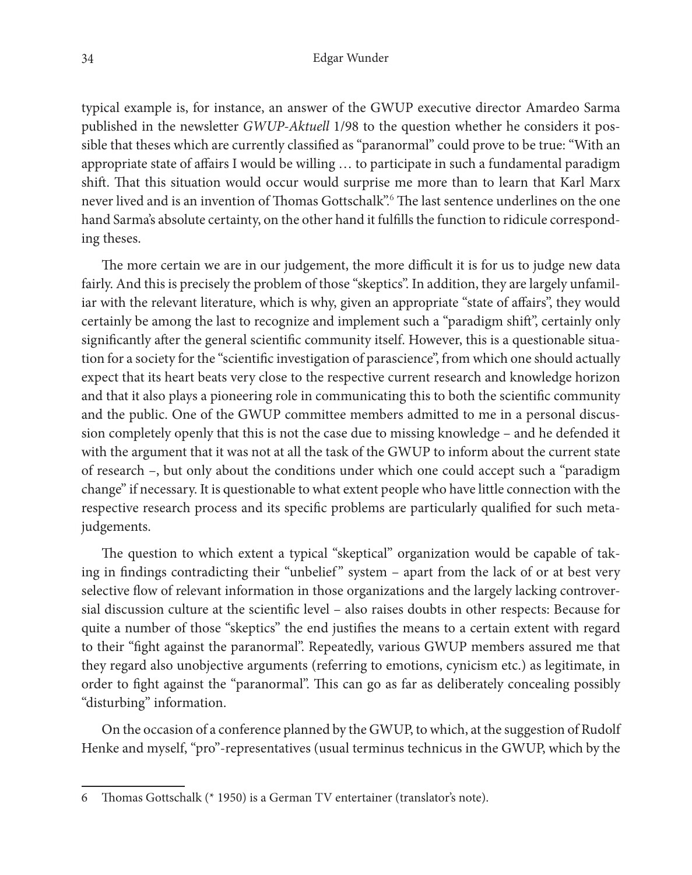typical example is, for instance, an answer of the GWUP executive director Amardeo Sarma published in the newsletter *GWUP-Aktuell* 1/98 to the question whether he considers it possible that theses which are currently classified as "paranormal" could prove to be true: "With an appropriate state of affairs I would be willing … to participate in such a fundamental paradigm shift. That this situation would occur would surprise me more than to learn that Karl Marx never lived and is an invention of Thomas Gottschalk".<sup>6</sup> The last sentence underlines on the one hand Sarma's absolute certainty, on the other hand it fulfills the function to ridicule corresponding theses.

The more certain we are in our judgement, the more difficult it is for us to judge new data fairly. And this is precisely the problem of those "skeptics". In addition, they are largely unfamiliar with the relevant literature, which is why, given an appropriate "state of affairs", they would certainly be among the last to recognize and implement such a "paradigm shift", certainly only significantly after the general scientific community itself. However, this is a questionable situation for a society for the "scientific investigation of parascience", from which one should actually expect that its heart beats very close to the respective current research and knowledge horizon and that it also plays a pioneering role in communicating this to both the scientific community and the public. One of the GWUP committee members admitted to me in a personal discussion completely openly that this is not the case due to missing knowledge – and he defended it with the argument that it was not at all the task of the GWUP to inform about the current state of research –, but only about the conditions under which one could accept such a "paradigm change" if necessary. It is questionable to what extent people who have little connection with the respective research process and its specific problems are particularly qualified for such metajudgements.

The question to which extent a typical "skeptical" organization would be capable of taking in findings contradicting their "unbelief" system – apart from the lack of or at best very selective flow of relevant information in those organizations and the largely lacking controversial discussion culture at the scientific level – also raises doubts in other respects: Because for quite a number of those "skeptics" the end justifies the means to a certain extent with regard to their "fight against the paranormal". Repeatedly, various GWUP members assured me that they regard also unobjective arguments (referring to emotions, cynicism etc.) as legitimate, in order to fight against the "paranormal". This can go as far as deliberately concealing possibly "disturbing" information.

On the occasion of a conference planned by the GWUP, to which, at the suggestion of Rudolf Henke and myself, "pro"-representatives (usual terminus technicus in the GWUP, which by the

<sup>6</sup> Thomas Gottschalk (\* 1950) is a German TV entertainer (translator's note).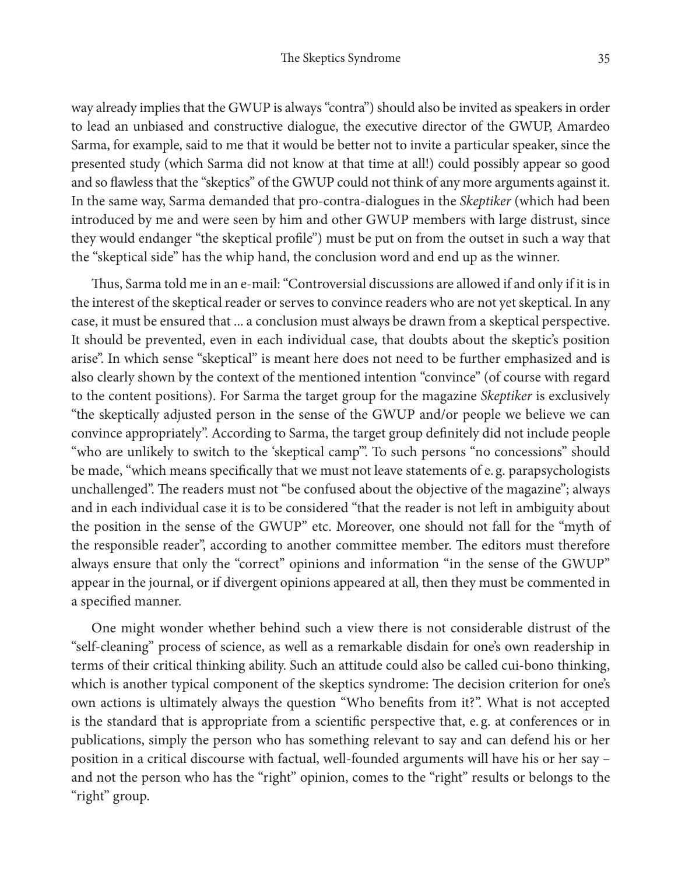way already implies that the GWUP is always "contra") should also be invited as speakers in order to lead an unbiased and constructive dialogue, the executive director of the GWUP, Amardeo Sarma, for example, said to me that it would be better not to invite a particular speaker, since the presented study (which Sarma did not know at that time at all!) could possibly appear so good and so flawless that the "skeptics" of the GWUP could not think of any more arguments against it. In the same way, Sarma demanded that pro-contra-dialogues in the *Skeptiker* (which had been introduced by me and were seen by him and other GWUP members with large distrust, since they would endanger "the skeptical profile") must be put on from the outset in such a way that the "skeptical side" has the whip hand, the conclusion word and end up as the winner.

Thus, Sarma told me in an e-mail: "Controversial discussions are allowed if and only if it is in the interest of the skeptical reader or serves to convince readers who are not yet skeptical. In any case, it must be ensured that ... a conclusion must always be drawn from a skeptical perspective. It should be prevented, even in each individual case, that doubts about the skeptic's position arise". In which sense "skeptical" is meant here does not need to be further emphasized and is also clearly shown by the context of the mentioned intention "convince" (of course with regard to the content positions). For Sarma the target group for the magazine *Skeptiker* is exclusively "the skeptically adjusted person in the sense of the GWUP and/or people we believe we can convince appropriately". According to Sarma, the target group definitely did not include people "who are unlikely to switch to the 'skeptical camp'". To such persons "no concessions" should be made, "which means specifically that we must not leave statements of e. g. parapsychologists unchallenged". The readers must not "be confused about the objective of the magazine"; always and in each individual case it is to be considered "that the reader is not left in ambiguity about the position in the sense of the GWUP" etc. Moreover, one should not fall for the "myth of the responsible reader", according to another committee member. The editors must therefore always ensure that only the "correct" opinions and information "in the sense of the GWUP" appear in the journal, or if divergent opinions appeared at all, then they must be commented in a specified manner.

One might wonder whether behind such a view there is not considerable distrust of the "self-cleaning" process of science, as well as a remarkable disdain for one's own readership in terms of their critical thinking ability. Such an attitude could also be called cui-bono thinking, which is another typical component of the skeptics syndrome: The decision criterion for one's own actions is ultimately always the question "Who benefits from it?". What is not accepted is the standard that is appropriate from a scientific perspective that, e. g. at conferences or in publications, simply the person who has something relevant to say and can defend his or her position in a critical discourse with factual, well-founded arguments will have his or her say – and not the person who has the "right" opinion, comes to the "right" results or belongs to the "right" group.